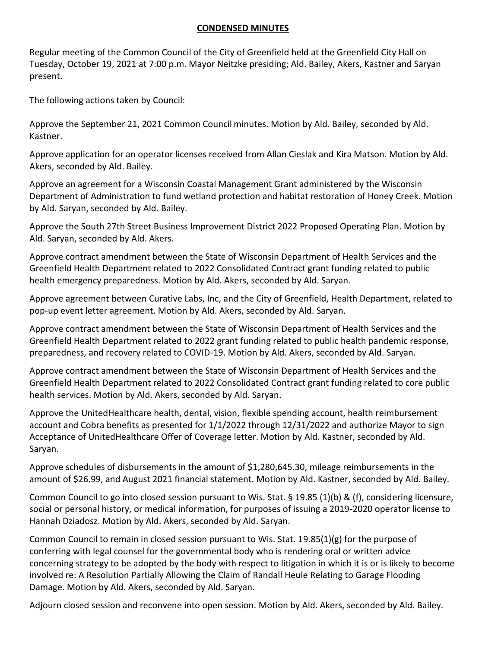## **CONDENSED MINUTES**

Regular meeting of the Common Council of the City of Greenfield held at the Greenfield City Hall on Tuesday, October 19, 2021 at 7:00 p.m. Mayor Neitzke presiding; Ald. Bailey, Akers, Kastner and Saryan present.

The following actions taken by Council:

Approve the September 21, 2021 Common Council minutes. Motion by Ald. Bailey, seconded by Ald. Kastner.

Approve application for an operator licenses received from Allan Cieslak and Kira Matson. Motion by Ald. Akers, seconded by Ald. Bailey.

Approve an agreement for a Wisconsin Coastal Management Grant administered by the Wisconsin Department of Administration to fund wetland protection and habitat restoration of Honey Creek. Motion by Ald. Saryan, seconded by Ald. Bailey.

Approve the South 27th Street Business Improvement District 2022 Proposed Operating Plan. Motion by Ald. Saryan, seconded by Ald. Akers.

Approve contract amendment between the State of Wisconsin Department of Health Services and the Greenfield Health Department related to 2022 Consolidated Contract grant funding related to public health emergency preparedness. Motion by Ald. Akers, seconded by Ald. Saryan.

Approve agreement between Curative Labs, Inc, and the City of Greenfield, Health Department, related to pop-up event letter agreement. Motion by Ald. Akers, seconded by Ald. Saryan.

Approve contract amendment between the State of Wisconsin Department of Health Services and the Greenfield Health Department related to 2022 grant funding related to public health pandemic response, preparedness, and recovery related to COVID-19. Motion by Ald. Akers, seconded by Ald. Saryan.

Approve contract amendment between the State of Wisconsin Department of Health Services and the Greenfield Health Department related to 2022 Consolidated Contract grant funding related to core public health services. Motion by Ald. Akers, seconded by Ald. Saryan.

Approve the UnitedHealthcare health, dental, vision, flexible spending account, health reimbursement account and Cobra benefits as presented for 1/1/2022 through 12/31/2022 and authorize Mayor to sign Acceptance of UnitedHealthcare Offer of Coverage letter. Motion by Ald. Kastner, seconded by Ald. Saryan.

Approve schedules of disbursements in the amount of \$1,280,645.30, mileage reimbursements in the amount of \$26.99, and August 2021 financial statement. Motion by Ald. Kastner, seconded by Ald. Bailey.

Common Council to go into closed session pursuant to Wis. Stat. § 19.85 (1)(b) & (f), considering licensure, social or personal history, or medical information, for purposes of issuing a 2019-2020 operator license to Hannah Dziadosz. Motion by Ald. Akers, seconded by Ald. Saryan.

Common Council to remain in closed session pursuant to Wis. Stat. 19.85(1)(g) for the purpose of conferring with legal counsel for the governmental body who is rendering oral or written advice concerning strategy to be adopted by the body with respect to litigation in which it is or is likely to become involved re: A Resolution Partially Allowing the Claim of Randall Heule Relating to Garage Flooding Damage. Motion by Ald. Akers, seconded by Ald. Saryan.

Adjourn closed session and reconvene into open session. Motion by Ald. Akers, seconded by Ald. Bailey.